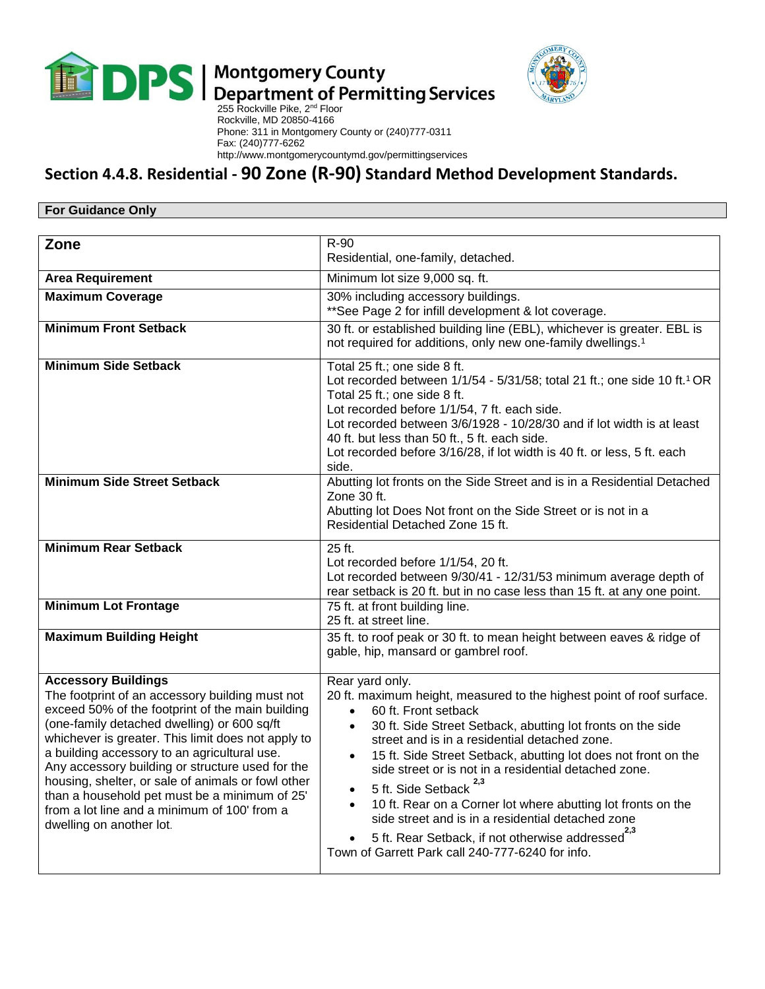

## $\blacksquare$  Department of Permitting Services<br>255 Rockville Pike, 2<sup>nd</sup> Floor



 Rockville, MD 20850-4166 Phone: 311 in Montgomery County or (240)777-0311 Fax: (240)777-6262 http://www.montgomerycountymd.gov/permittingservices

## **Section 4.4.8. Residential - 90 Zone (R-90) Standard Method Development Standards.**

## **For Guidance Only**

| Zone                                                                                                                                                                                                                                                                                                                                                                                                                                                                                                                          | R-90<br>Residential, one-family, detached.                                                                                                                                                                                                                                                                                                                                                                                                                                                                                                                                                                                                                                      |  |
|-------------------------------------------------------------------------------------------------------------------------------------------------------------------------------------------------------------------------------------------------------------------------------------------------------------------------------------------------------------------------------------------------------------------------------------------------------------------------------------------------------------------------------|---------------------------------------------------------------------------------------------------------------------------------------------------------------------------------------------------------------------------------------------------------------------------------------------------------------------------------------------------------------------------------------------------------------------------------------------------------------------------------------------------------------------------------------------------------------------------------------------------------------------------------------------------------------------------------|--|
| <b>Area Requirement</b>                                                                                                                                                                                                                                                                                                                                                                                                                                                                                                       | Minimum lot size 9,000 sq. ft.                                                                                                                                                                                                                                                                                                                                                                                                                                                                                                                                                                                                                                                  |  |
| <b>Maximum Coverage</b>                                                                                                                                                                                                                                                                                                                                                                                                                                                                                                       | 30% including accessory buildings.<br>**See Page 2 for infill development & lot coverage.                                                                                                                                                                                                                                                                                                                                                                                                                                                                                                                                                                                       |  |
| <b>Minimum Front Setback</b>                                                                                                                                                                                                                                                                                                                                                                                                                                                                                                  | 30 ft. or established building line (EBL), whichever is greater. EBL is<br>not required for additions, only new one-family dwellings. <sup>1</sup>                                                                                                                                                                                                                                                                                                                                                                                                                                                                                                                              |  |
| <b>Minimum Side Setback</b>                                                                                                                                                                                                                                                                                                                                                                                                                                                                                                   | Total 25 ft.; one side 8 ft.<br>Lot recorded between 1/1/54 - 5/31/58; total 21 ft.; one side 10 ft.1 OR<br>Total 25 ft.; one side 8 ft.<br>Lot recorded before 1/1/54, 7 ft. each side.<br>Lot recorded between 3/6/1928 - 10/28/30 and if lot width is at least<br>40 ft. but less than 50 ft., 5 ft. each side.<br>Lot recorded before 3/16/28, if lot width is 40 ft. or less, 5 ft. each<br>side.                                                                                                                                                                                                                                                                          |  |
| <b>Minimum Side Street Setback</b>                                                                                                                                                                                                                                                                                                                                                                                                                                                                                            | Abutting lot fronts on the Side Street and is in a Residential Detached<br>Zone 30 ft.<br>Abutting lot Does Not front on the Side Street or is not in a<br>Residential Detached Zone 15 ft.                                                                                                                                                                                                                                                                                                                                                                                                                                                                                     |  |
| <b>Minimum Rear Setback</b>                                                                                                                                                                                                                                                                                                                                                                                                                                                                                                   | 25 ft.<br>Lot recorded before 1/1/54, 20 ft.<br>Lot recorded between 9/30/41 - 12/31/53 minimum average depth of<br>rear setback is 20 ft. but in no case less than 15 ft. at any one point.                                                                                                                                                                                                                                                                                                                                                                                                                                                                                    |  |
| <b>Minimum Lot Frontage</b>                                                                                                                                                                                                                                                                                                                                                                                                                                                                                                   | 75 ft. at front building line.<br>25 ft. at street line.                                                                                                                                                                                                                                                                                                                                                                                                                                                                                                                                                                                                                        |  |
| <b>Maximum Building Height</b>                                                                                                                                                                                                                                                                                                                                                                                                                                                                                                | 35 ft. to roof peak or 30 ft. to mean height between eaves & ridge of<br>gable, hip, mansard or gambrel roof.                                                                                                                                                                                                                                                                                                                                                                                                                                                                                                                                                                   |  |
| <b>Accessory Buildings</b><br>The footprint of an accessory building must not<br>exceed 50% of the footprint of the main building<br>(one-family detached dwelling) or 600 sq/ft<br>whichever is greater. This limit does not apply to<br>a building accessory to an agricultural use.<br>Any accessory building or structure used for the<br>housing, shelter, or sale of animals or fowl other<br>than a household pet must be a minimum of 25'<br>from a lot line and a minimum of 100' from a<br>dwelling on another lot. | Rear yard only.<br>20 ft. maximum height, measured to the highest point of roof surface.<br>60 ft. Front setback<br>$\bullet$<br>30 ft. Side Street Setback, abutting lot fronts on the side<br>$\bullet$<br>street and is in a residential detached zone.<br>15 ft. Side Street Setback, abutting lot does not front on the<br>$\bullet$<br>side street or is not in a residential detached zone.<br>5 ft. Side Setback <sup>2,3</sup><br>$\bullet$<br>10 ft. Rear on a Corner lot where abutting lot fronts on the<br>side street and is in a residential detached zone<br>5 ft. Rear Setback, if not otherwise addressed<br>Town of Garrett Park call 240-777-6240 for info. |  |